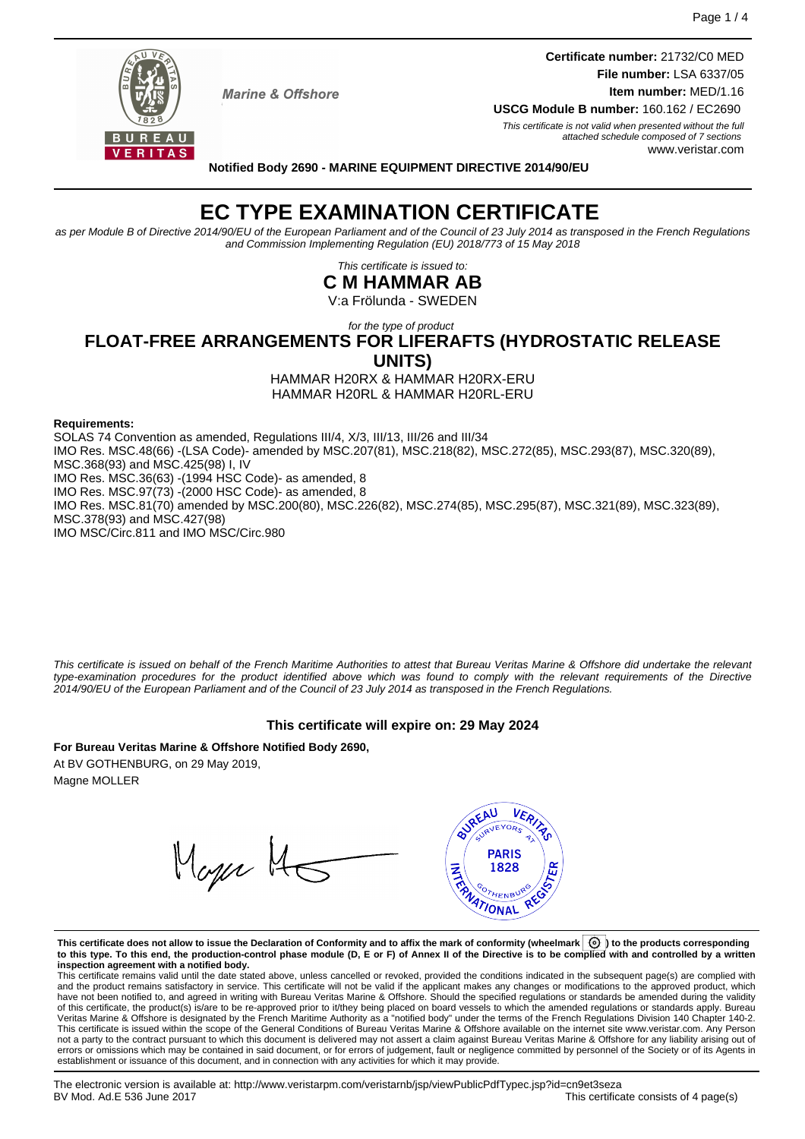**Certificate number:** 21732/C0 MED **File number:** LSA 6337/05 **Item number:** MED/1.16



 $IIRFAII$ VERITAS

**Marine & Offshore** 

**USCG Module B number:** 160.162 / EC2690 This certificate is not valid when presented without the full attached schedule composed of 7 sections www.veristar.com

**Notified Body 2690 - MARINE EQUIPMENT DIRECTIVE 2014/90/EU**

**EC TYPE EXAMINATION CERTIFICATE**

as per Module B of Directive 2014/90/EU of the European Parliament and of the Council of 23 July 2014 as transposed in the French Regulations and Commission Implementing Regulation (EU) 2018/773 of 15 May 2018

> This certificate is issued to: **C M HAMMAR AB**

V:a Frölunda - SWEDEN

for the type of product

## **FLOAT-FREE ARRANGEMENTS FOR LIFERAFTS (HYDROSTATIC RELEASE UNITS)**

HAMMAR H20RX & HAMMAR H20RX-ERU HAMMAR H20RL & HAMMAR H20RL-ERU

#### **Requirements:**

SOLAS 74 Convention as amended, Regulations III/4, X/3, III/13, III/26 and III/34 IMO Res. MSC.48(66) -(LSA Code)- amended by MSC.207(81), MSC.218(82), MSC.272(85), MSC.293(87), MSC.320(89), MSC.368(93) and MSC.425(98) I, IV IMO Res. MSC.36(63) -(1994 HSC Code)- as amended, 8 IMO Res. MSC.97(73) -(2000 HSC Code)- as amended, 8 IMO Res. MSC.81(70) amended by MSC.200(80), MSC.226(82), MSC.274(85), MSC.295(87), MSC.321(89), MSC.323(89), MSC.378(93) and MSC.427(98) IMO MSC/Circ.811 and IMO MSC/Circ.980

This certificate is issued on behalf of the French Maritime Authorities to attest that Bureau Veritas Marine & Offshore did undertake the relevant type-examination procedures for the product identified above which was found to comply with the relevant requirements of the Directive 2014/90/EU of the European Parliament and of the Council of 23 July 2014 as transposed in the French Regulations.

#### **This certificate will expire on: 29 May 2024**

**For Bureau Veritas Marine & Offshore Notified Body 2690,** At BV GOTHENBURG, on 29 May 2019, Magne MOLLER

Mager MG



**This certificate does not allow to issue the Declaration of Conformity and to affix the mark of conformity (wheelmark ) to the products corresponding to this type. To this end, the production-control phase module (D, E or F) of Annex II of the Directive is to be complied with and controlled by a written inspection agreement with a notified body.**

This certificate remains valid until the date stated above, unless cancelled or revoked, provided the conditions indicated in the subsequent page(s) are complied with and the product remains satisfactory in service. This certificate will not be valid if the applicant makes any changes or modifications to the approved product, which have not been notified to, and agreed in writing with Bureau Veritas Marine & Offshore. Should the specified regulations or standards be amended during the validity of this certificate, the product(s) is/are to be re-approved prior to it/they being placed on board vessels to which the amended regulations or standards apply. Bureau<br>Veritas Marine & Offshore is designated by the French not a party to the contract pursuant to which this document is delivered may not assert a claim against Bureau Veritas Marine & Offshore for any liability arising out of errors or omissions which may be contained in said document, or for errors of judgement, fault or negligence committed by personnel of the Society or of its Agents in establishment or issuance of this document, and in connection with any activities for which it may provide.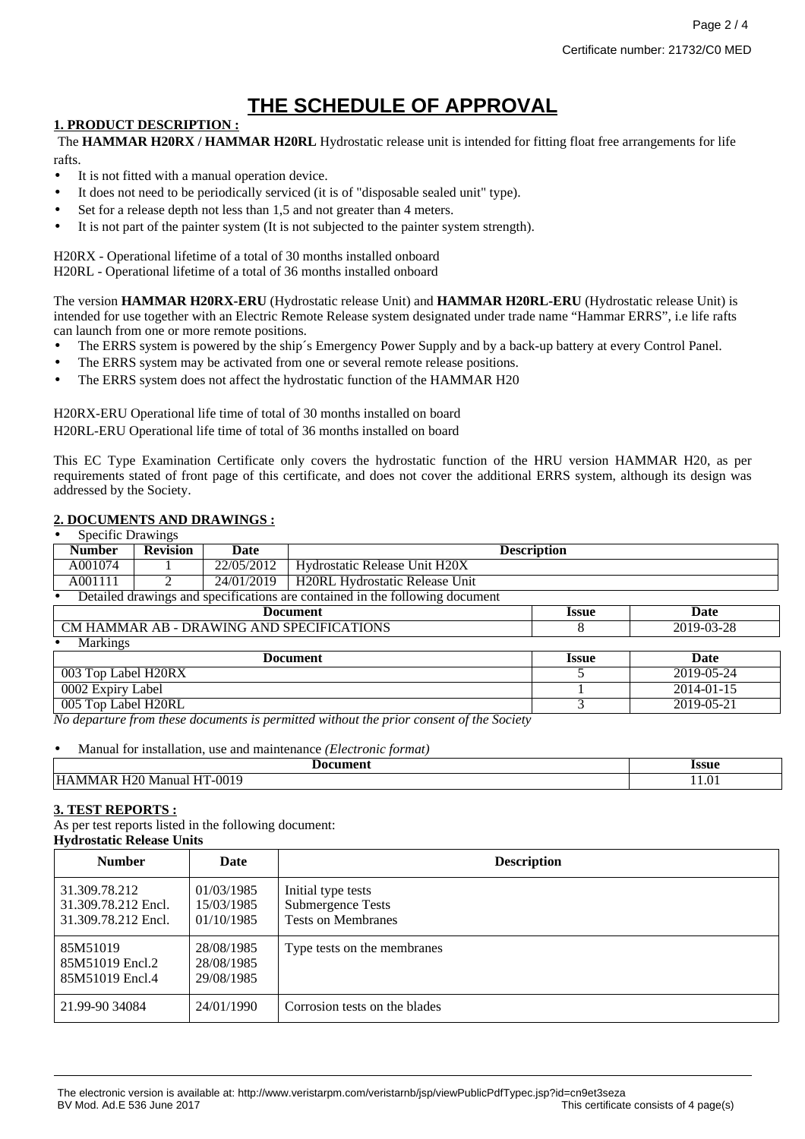# **THE SCHEDULE OF APPROVAL**

### **1. PRODUCT DESCRIPTION :**

The **HAMMAR H20RX / HAMMAR H20RL** Hydrostatic release unit is intended for fitting float free arrangements for life rafts.

- It is not fitted with a manual operation device.
- It does not need to be periodically serviced (it is of "disposable sealed unit" type).
- Set for a release depth not less than 1,5 and not greater than 4 meters.
- It is not part of the painter system (It is not subjected to the painter system strength).

H20RX - Operational lifetime of a total of 30 months installed onboard H20RL - Operational lifetime of a total of 36 months installed onboard

The version **HAMMAR H20RX-ERU** (Hydrostatic release Unit) and **HAMMAR H20RL-ERU** (Hydrostatic release Unit) is intended for use together with an Electric Remote Release system designated under trade name "Hammar ERRS", i.e life rafts can launch from one or more remote positions.

- The ERRS system is powered by the ship's Emergency Power Supply and by a back-up battery at every Control Panel.
- The ERRS system may be activated from one or several remote release positions.
- The ERRS system does not affect the hydrostatic function of the HAMMAR H20

H20RX-ERU Operational life time of total of 30 months installed on board H20RL-ERU Operational life time of total of 36 months installed on board

This EC Type Examination Certificate only covers the hydrostatic function of the HRU version HAMMAR H20, as per requirements stated of front page of this certificate, and does not cover the additional ERRS system, although its design was addressed by the Society.

### **2. DOCUMENTS AND DRAWINGS :**

| <b>Specific Drawings</b><br>$\bullet$     |                 |            |                                                                                         |                     |      |
|-------------------------------------------|-----------------|------------|-----------------------------------------------------------------------------------------|---------------------|------|
| <b>Number</b>                             | <b>Revision</b> | Date       | <b>Description</b>                                                                      |                     |      |
| A001074                                   |                 | 22/05/2012 | Hydrostatic Release Unit H20X                                                           |                     |      |
| A001111                                   |                 | 24/01/2019 | H20RL Hydrostatic Release Unit                                                          |                     |      |
|                                           |                 |            | Detailed drawings and specifications are contained in the following document            |                     |      |
|                                           |                 |            | <b>Document</b>                                                                         | <i><b>Issue</b></i> | Date |
| CM HAMMAR AB - DRAWING AND SPECIFICATIONS |                 |            | 8                                                                                       | 2019-03-28          |      |
| Markings<br>$\bullet$                     |                 |            |                                                                                         |                     |      |
|                                           |                 |            | <b>Document</b>                                                                         | <i><b>Issue</b></i> | Date |
| 003 Top Label H20RX                       |                 |            |                                                                                         | 2019-05-24          |      |
| 0002 Expiry Label                         |                 |            |                                                                                         | 2014-01-15          |      |
| 005 Top Label H20RL                       |                 |            |                                                                                         | 2019-05-21          |      |
|                                           |                 |            | No departure from these documents is permitted without the prior consent of the Society |                     |      |
|                                           |                 |            |                                                                                         |                     |      |

• Manual for installation, use and maintenance *(Electronic format)*

| <u>антали</u>                                        | issue |
|------------------------------------------------------|-------|
|                                                      |       |
| 0019<br><b>HAM</b><br>anua<br>N/I<br><b>IVI</b><br>. | LL.U. |

#### **3. TEST REPORTS :**

As per test reports listed in the following document: **Hydrostatic Release Units**

| <b>Number</b>                                               | Date                                   | <b>Description</b>                                                          |
|-------------------------------------------------------------|----------------------------------------|-----------------------------------------------------------------------------|
| 31.309.78.212<br>31.309.78.212 Encl.<br>31.309.78.212 Encl. | 01/03/1985<br>15/03/1985<br>01/10/1985 | Initial type tests<br><b>Submergence Tests</b><br><b>Tests on Membranes</b> |
| 85M51019<br>85M51019 Encl.2<br>85M51019 Encl.4              | 28/08/1985<br>28/08/1985<br>29/08/1985 | Type tests on the membranes                                                 |
| 21.99-90 34084                                              | 24/01/1990                             | Corrosion tests on the blades                                               |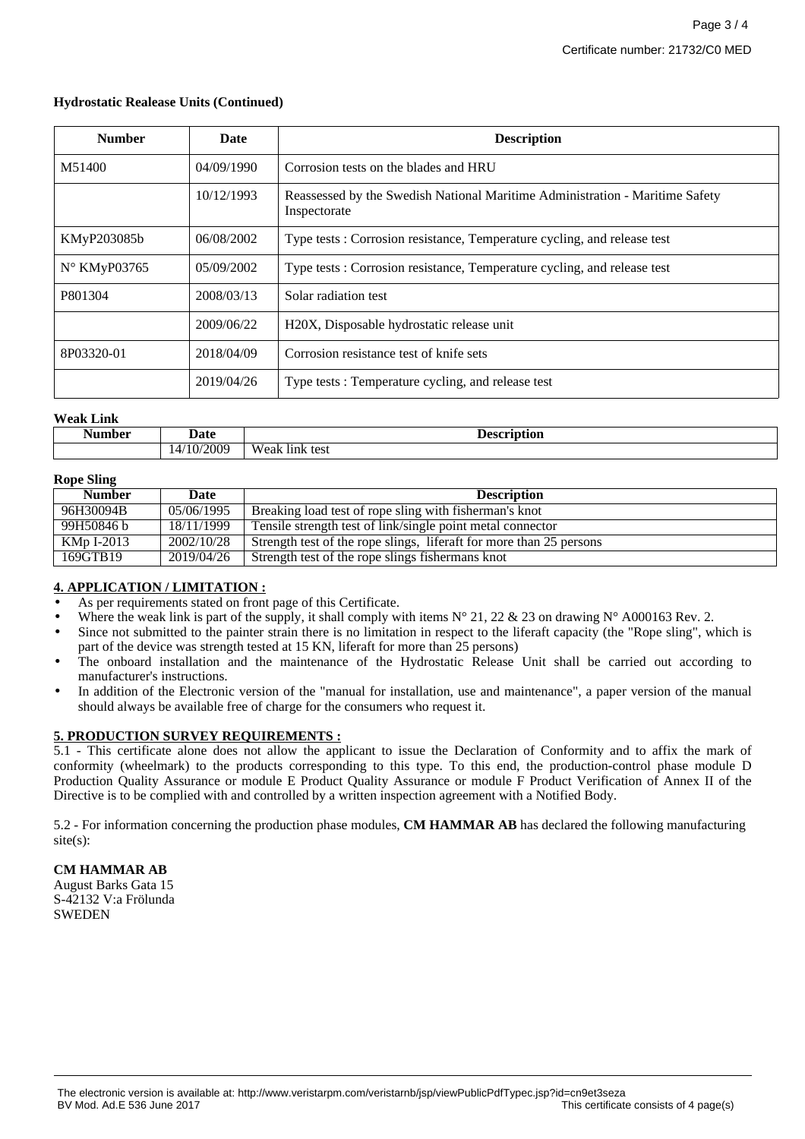#### **Hydrostatic Realease Units (Continued)**

| <b>Number</b>         | <b>Date</b> | <b>Description</b>                                                                           |
|-----------------------|-------------|----------------------------------------------------------------------------------------------|
| M51400                | 04/09/1990  | Corrosion tests on the blades and HRU                                                        |
|                       | 10/12/1993  | Reassessed by the Swedish National Maritime Administration - Maritime Safety<br>Inspectorate |
| KMyP203085b           | 06/08/2002  | Type tests: Corrosion resistance, Temperature cycling, and release test                      |
| $N^{\circ}$ KMyP03765 | 05/09/2002  | Type tests: Corrosion resistance, Temperature cycling, and release test                      |
| P801304               | 2008/03/13  | Solar radiation test                                                                         |
|                       | 2009/06/22  | H <sub>20</sub> X, Disposable hydrostatic release unit                                       |
| 8P03320-01            | 2018/04/09  | Corrosion resistance test of knife sets                                                      |
|                       | 2019/04/26  | Type tests: Temperature cycling, and release test                                            |

#### **Weak Link**

| luun hom<br>'lidcl | Date       | * locorintion<br>upuon       |
|--------------------|------------|------------------------------|
|                    | 14/10/2009 | <b>TTT</b><br>Weak link test |

#### **Rope Sling**

| $\mathbf{A}$  |            |                                                                     |
|---------------|------------|---------------------------------------------------------------------|
| <b>Number</b> | Date       | <b>Description</b>                                                  |
| 96H30094B     | 05/06/1995 | Breaking load test of rope sling with fisherman's knot              |
| 99H50846 b    | 18/11/1999 | Tensile strength test of link/single point metal connector          |
| KMp I-2013    | 2002/10/28 | Strength test of the rope slings, liferaft for more than 25 persons |
| 169GTB19      | 2019/04/26 | Strength test of the rope slings fishermans knot                    |

#### **4. APPLICATION / LIMITATION :**

- As per requirements stated on front page of this Certificate.
- Where the weak link is part of the supply, it shall comply with items  $N^{\circ}$  21, 22 & 23 on drawing  $N^{\circ}$  A000163 Rev. 2.
- Since not submitted to the painter strain there is no limitation in respect to the liferaft capacity (the "Rope sling", which is part of the device was strength tested at 15 KN, liferaft for more than 25 persons)
- The onboard installation and the maintenance of the Hydrostatic Release Unit shall be carried out according to manufacturer's instructions.
- In addition of the Electronic version of the "manual for installation, use and maintenance", a paper version of the manual should always be available free of charge for the consumers who request it.

#### **5. PRODUCTION SURVEY REQUIREMENTS :**

5.1 - This certificate alone does not allow the applicant to issue the Declaration of Conformity and to affix the mark of conformity (wheelmark) to the products corresponding to this type. To this end, the production-control phase module D Production Quality Assurance or module E Product Quality Assurance or module F Product Verification of Annex II of the Directive is to be complied with and controlled by a written inspection agreement with a Notified Body.

5.2 - For information concerning the production phase modules, **CM HAMMAR AB** has declared the following manufacturing site(s):

#### **CM HAMMAR AB**

August Barks Gata 15 S-42132 V:a Frölunda **SWEDEN**